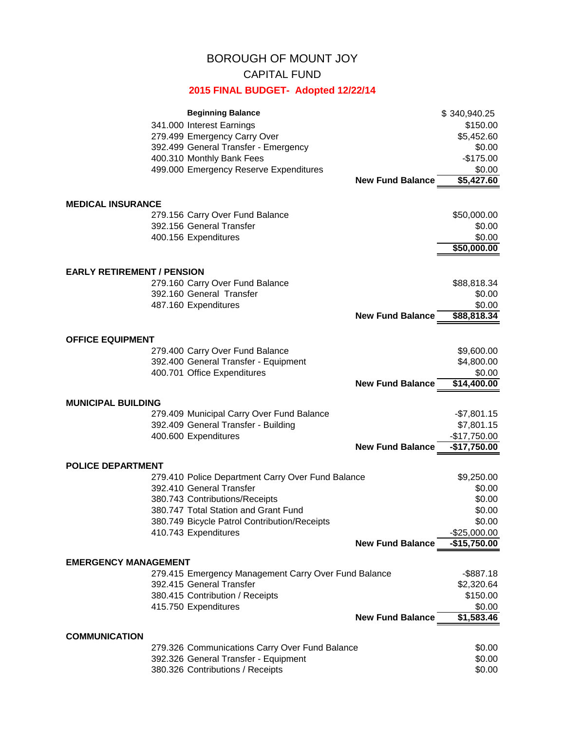## BOROUGH OF MOUNT JOY

## CAPITAL FUND

## **2015 FINAL BUDGET- Adopted 12/22/14**

|                                   | <b>Beginning Balance</b>                             |                         | \$340,940.25  |  |
|-----------------------------------|------------------------------------------------------|-------------------------|---------------|--|
|                                   | 341.000 Interest Earnings                            |                         | \$150.00      |  |
|                                   | 279.499 Emergency Carry Over                         |                         | \$5,452.60    |  |
|                                   | 392.499 General Transfer - Emergency                 |                         | \$0.00        |  |
|                                   | 400.310 Monthly Bank Fees                            |                         | $-$175.00$    |  |
|                                   | 499.000 Emergency Reserve Expenditures               |                         | \$0.00        |  |
|                                   |                                                      | <b>New Fund Balance</b> | \$5,427.60    |  |
| <b>MEDICAL INSURANCE</b>          |                                                      |                         |               |  |
|                                   | 279.156 Carry Over Fund Balance                      |                         | \$50,000.00   |  |
|                                   | 392.156 General Transfer                             |                         | \$0.00        |  |
|                                   | 400.156 Expenditures                                 |                         | \$0.00        |  |
|                                   |                                                      |                         | \$50,000.00   |  |
| <b>EARLY RETIREMENT / PENSION</b> |                                                      |                         |               |  |
|                                   | 279.160 Carry Over Fund Balance                      |                         | \$88,818.34   |  |
|                                   | 392.160 General Transfer                             |                         | \$0.00        |  |
|                                   | 487.160 Expenditures                                 |                         | \$0.00        |  |
|                                   |                                                      | <b>New Fund Balance</b> | \$88,818.34   |  |
| <b>OFFICE EQUIPMENT</b>           |                                                      |                         |               |  |
|                                   | 279.400 Carry Over Fund Balance                      |                         | \$9,600.00    |  |
|                                   | 392.400 General Transfer - Equipment                 |                         | \$4,800.00    |  |
|                                   | 400.701 Office Expenditures                          |                         | \$0.00        |  |
|                                   |                                                      | <b>New Fund Balance</b> | \$14,400.00   |  |
| <b>MUNICIPAL BUILDING</b>         |                                                      |                         |               |  |
|                                   | 279.409 Municipal Carry Over Fund Balance            |                         | $-$7,801.15$  |  |
|                                   | 392.409 General Transfer - Building                  |                         | \$7,801.15    |  |
|                                   | 400.600 Expenditures                                 |                         | $-$17,750.00$ |  |
|                                   |                                                      | <b>New Fund Balance</b> | $-$17,750.00$ |  |
| <b>POLICE DEPARTMENT</b>          |                                                      |                         |               |  |
|                                   | 279.410 Police Department Carry Over Fund Balance    |                         | \$9,250.00    |  |
|                                   | 392.410 General Transfer                             |                         | \$0.00        |  |
|                                   | 380.743 Contributions/Receipts                       |                         | \$0.00        |  |
|                                   | 380.747 Total Station and Grant Fund                 |                         | \$0.00        |  |
|                                   | 380.749 Bicycle Patrol Contribution/Receipts         |                         | \$0.00        |  |
|                                   | 410.743 Expenditures                                 |                         | $-$25,000.00$ |  |
|                                   |                                                      | <b>New Fund Balance</b> | $-$15,750.00$ |  |
| <b>EMERGENCY MANAGEMENT</b>       |                                                      |                         |               |  |
|                                   | 279.415 Emergency Management Carry Over Fund Balance |                         | $-$ \$887.18  |  |
|                                   | 392.415 General Transfer                             |                         | \$2,320.64    |  |
|                                   | 380.415 Contribution / Receipts                      |                         | \$150.00      |  |
|                                   | 415.750 Expenditures                                 |                         | \$0.00        |  |
|                                   |                                                      | <b>New Fund Balance</b> | \$1,583.46    |  |
| <b>COMMUNICATION</b>              |                                                      |                         |               |  |
|                                   | 279.326 Communications Carry Over Fund Balance       |                         | \$0.00        |  |
|                                   | 392.326 General Transfer - Equipment                 |                         | \$0.00        |  |
|                                   | 380.326 Contributions / Receipts                     |                         | \$0.00        |  |